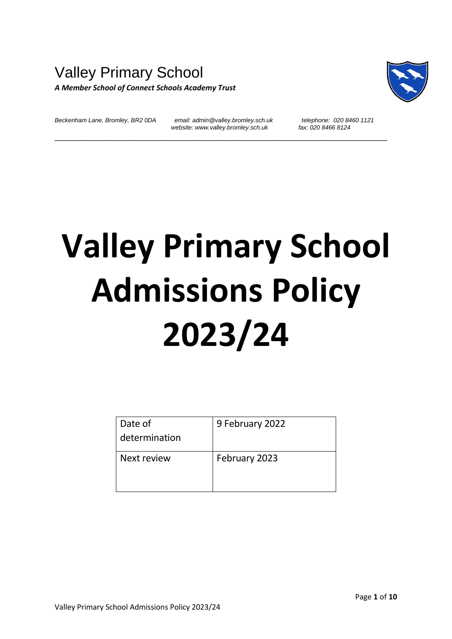# Valley Primary School *A Member School of Connect Schools Academy Trust*



*Beckenham Lane, Bromley, BR2 0DA email: admin@valley.bromley.sch.uk telephone: 020 8460 1121 website: www.valley.bromley.sch.uk* 

\_\_\_\_\_\_\_\_\_\_\_\_\_\_\_\_\_\_\_\_\_\_\_\_\_\_\_\_\_\_\_\_\_\_\_\_\_\_\_\_\_\_\_\_\_\_\_\_\_\_\_\_\_\_\_\_\_\_\_\_\_\_\_\_\_\_\_\_\_\_\_\_\_\_\_\_\_\_\_\_

# **Valley Primary School Admissions Policy 2023/24**

| Date of<br>determination | 9 February 2022 |
|--------------------------|-----------------|
| Next review              | February 2023   |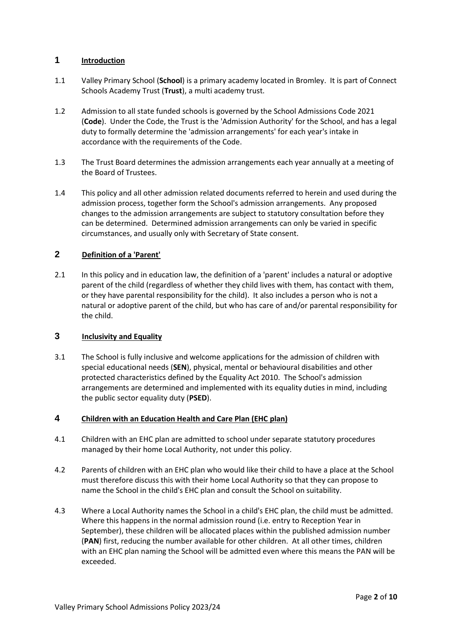# **1 Introduction**

- 1.1 Valley Primary School (**School**) is a primary academy located in Bromley. It is part of Connect Schools Academy Trust (**Trust**), a multi academy trust.
- 1.2 Admission to all state funded schools is governed by the School Admissions Code 2021 (**Code**). Under the Code, the Trust is the 'Admission Authority' for the School, and has a legal duty to formally determine the 'admission arrangements' for each year's intake in accordance with the requirements of the Code.
- 1.3 The Trust Board determines the admission arrangements each year annually at a meeting of the Board of Trustees.
- 1.4 This policy and all other admission related documents referred to herein and used during the admission process, together form the School's admission arrangements. Any proposed changes to the admission arrangements are subject to statutory consultation before they can be determined. Determined admission arrangements can only be varied in specific circumstances, and usually only with Secretary of State consent.

# **2 Definition of a 'Parent'**

2.1 In this policy and in education law, the definition of a 'parent' includes a natural or adoptive parent of the child (regardless of whether they child lives with them, has contact with them, or they have parental responsibility for the child). It also includes a person who is not a natural or adoptive parent of the child, but who has care of and/or parental responsibility for the child.

# **3 Inclusivity and Equality**

3.1 The School is fully inclusive and welcome applications for the admission of children with special educational needs (**SEN**), physical, mental or behavioural disabilities and other protected characteristics defined by the Equality Act 2010. The School's admission arrangements are determined and implemented with its equality duties in mind, including the public sector equality duty (**PSED**).

#### **4 Children with an Education Health and Care Plan (EHC plan)**

- 4.1 Children with an EHC plan are admitted to school under separate statutory procedures managed by their home Local Authority, not under this policy.
- 4.2 Parents of children with an EHC plan who would like their child to have a place at the School must therefore discuss this with their home Local Authority so that they can propose to name the School in the child's EHC plan and consult the School on suitability.
- 4.3 Where a Local Authority names the School in a child's EHC plan, the child must be admitted. Where this happens in the normal admission round (i.e. entry to Reception Year in September), these children will be allocated places within the published admission number (**PAN**) first, reducing the number available for other children. At all other times, children with an EHC plan naming the School will be admitted even where this means the PAN will be exceeded.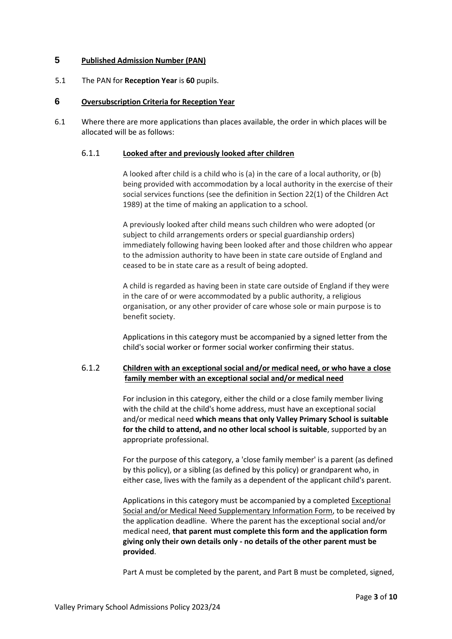## **5 Published Admission Number (PAN)**

5.1 The PAN for **Reception Year** is **60** pupils.

#### **6 Oversubscription Criteria for Reception Year**

6.1 Where there are more applications than places available, the order in which places will be allocated will be as follows:

#### 6.1.1 **Looked after and previously looked after children**

A looked after child is a child who is (a) in the care of a local authority, or (b) being provided with accommodation by a local authority in the exercise of their social services functions (see the definition in Section 22(1) of the Children Act 1989) at the time of making an application to a school.

A previously looked after child means such children who were adopted (or subject to child arrangements orders or special guardianship orders) immediately following having been looked after and those children who appear to the admission authority to have been in state care outside of England and ceased to be in state care as a result of being adopted.

A child is regarded as having been in state care outside of England if they were in the care of or were accommodated by a public authority, a religious organisation, or any other provider of care whose sole or main purpose is to benefit society.

Applications in this category must be accompanied by a signed letter from the child's social worker or former social worker confirming their status.

## 6.1.2 **Children with an exceptional social and/or medical need, or who have a close family member with an exceptional social and/or medical need**

For inclusion in this category, either the child or a close family member living with the child at the child's home address, must have an exceptional social and/or medical need **which means that only Valley Primary School is suitable for the child to attend, and no other local school is suitable**, supported by an appropriate professional.

For the purpose of this category, a 'close family member' is a parent (as defined by this policy), or a sibling (as defined by this policy) or grandparent who, in either case, lives with the family as a dependent of the applicant child's parent.

Applications in this category must be accompanied by a completed Exceptional Social and/or Medical Need Supplementary Information Form, to be received by the application deadline. Where the parent has the exceptional social and/or medical need, **that parent must complete this form and the application form giving only their own details only - no details of the other parent must be provided**.

Part A must be completed by the parent, and Part B must be completed, signed,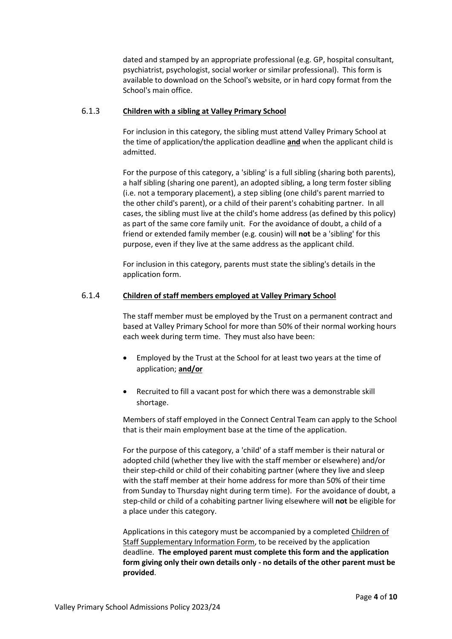dated and stamped by an appropriate professional (e.g. GP, hospital consultant, psychiatrist, psychologist, social worker or similar professional). This form is available to download on the School's website, or in hard copy format from the School's main office.

#### 6.1.3 **Children with a sibling at Valley Primary School**

For inclusion in this category, the sibling must attend Valley Primary School at the time of application/the application deadline **and** when the applicant child is admitted.

For the purpose of this category, a 'sibling' is a full sibling (sharing both parents), a half sibling (sharing one parent), an adopted sibling, a long term foster sibling (i.e. not a temporary placement), a step sibling (one child's parent married to the other child's parent), or a child of their parent's cohabiting partner. In all cases, the sibling must live at the child's home address (as defined by this policy) as part of the same core family unit. For the avoidance of doubt, a child of a friend or extended family member (e.g. cousin) will **not** be a 'sibling' for this purpose, even if they live at the same address as the applicant child.

For inclusion in this category, parents must state the sibling's details in the application form.

#### 6.1.4 **Children of staff members employed at Valley Primary School**

The staff member must be employed by the Trust on a permanent contract and based at Valley Primary School for more than 50% of their normal working hours each week during term time. They must also have been:

- Employed by the Trust at the School for at least two years at the time of application; **and/or**
- Recruited to fill a vacant post for which there was a demonstrable skill shortage.

Members of staff employed in the Connect Central Team can apply to the School that is their main employment base at the time of the application.

For the purpose of this category, a 'child' of a staff member is their natural or adopted child (whether they live with the staff member or elsewhere) and/or their step-child or child of their cohabiting partner (where they live and sleep with the staff member at their home address for more than 50% of their time from Sunday to Thursday night during term time). For the avoidance of doubt, a step-child or child of a cohabiting partner living elsewhere will **not** be eligible for a place under this category.

Applications in this category must be accompanied by a completed Children of Staff Supplementary Information Form, to be received by the application deadline. **The employed parent must complete this form and the application form giving only their own details only - no details of the other parent must be provided**.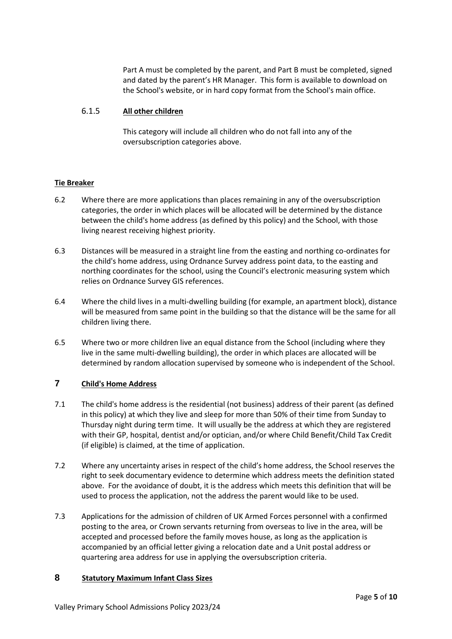Part A must be completed by the parent, and Part B must be completed, signed and dated by the parent's HR Manager. This form is available to download on the School's website, or in hard copy format from the School's main office.

## 6.1.5 **All other children**

This category will include all children who do not fall into any of the oversubscription categories above.

## **Tie Breaker**

- 6.2 Where there are more applications than places remaining in any of the oversubscription categories, the order in which places will be allocated will be determined by the distance between the child's home address (as defined by this policy) and the School, with those living nearest receiving highest priority.
- 6.3 Distances will be measured in a straight line from the easting and northing co-ordinates for the child's home address, using Ordnance Survey address point data, to the easting and northing coordinates for the school, using the Council's electronic measuring system which relies on Ordnance Survey GIS references.
- 6.4 Where the child lives in a multi-dwelling building (for example, an apartment block), distance will be measured from same point in the building so that the distance will be the same for all children living there.
- 6.5 Where two or more children live an equal distance from the School (including where they live in the same multi-dwelling building), the order in which places are allocated will be determined by random allocation supervised by someone who is independent of the School.

# **7 Child's Home Address**

- 7.1 The child's home address is the residential (not business) address of their parent (as defined in this policy) at which they live and sleep for more than 50% of their time from Sunday to Thursday night during term time. It will usually be the address at which they are registered with their GP, hospital, dentist and/or optician, and/or where Child Benefit/Child Tax Credit (if eligible) is claimed, at the time of application.
- 7.2 Where any uncertainty arises in respect of the child's home address, the School reserves the right to seek documentary evidence to determine which address meets the definition stated above. For the avoidance of doubt, it is the address which meets this definition that will be used to process the application, not the address the parent would like to be used.
- 7.3 Applications for the admission of children of UK Armed Forces personnel with a confirmed posting to the area, or Crown servants returning from overseas to live in the area, will be accepted and processed before the family moves house, as long as the application is accompanied by an official letter giving a relocation date and a Unit postal address or quartering area address for use in applying the oversubscription criteria.

#### **8 Statutory Maximum Infant Class Sizes**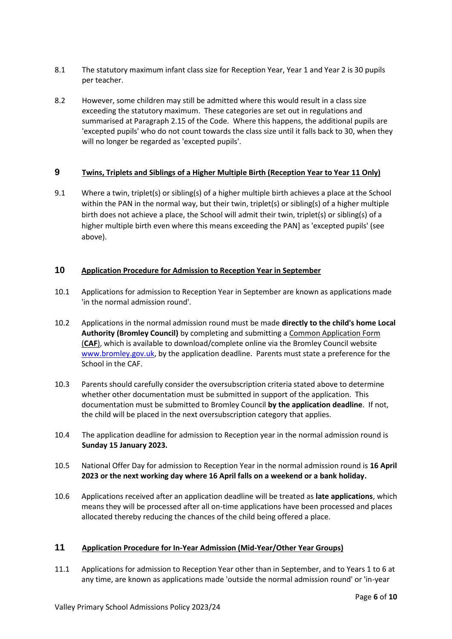- 8.1 The statutory maximum infant class size for Reception Year, Year 1 and Year 2 is 30 pupils per teacher.
- 8.2 However, some children may still be admitted where this would result in a class size exceeding the statutory maximum. These categories are set out in regulations and summarised at Paragraph 2.15 of the Code. Where this happens, the additional pupils are 'excepted pupils' who do not count towards the class size until it falls back to 30, when they will no longer be regarded as 'excepted pupils'.

# **9 Twins, Triplets and Siblings of a Higher Multiple Birth (Reception Year to Year 11 Only)**

9.1 Where a twin, triplet(s) or sibling(s) of a higher multiple birth achieves a place at the School within the PAN in the normal way, but their twin, triplet(s) or sibling(s) of a higher multiple birth does not achieve a place, the School will admit their twin, triplet(s) or sibling(s) of a higher multiple birth even where this means exceeding the PAN] as 'excepted pupils' (see above).

# **10 Application Procedure for Admission to Reception Year in September**

- 10.1 Applications for admission to Reception Year in September are known as applications made 'in the normal admission round'.
- 10.2 Applications in the normal admission round must be made **directly to the child's home Local Authority (Bromley Council)** by completing and submitting a Common Application Form (**CAF**), which is available to download/complete online via the Bromley Council website [www.bromley.gov.uk,](http://www.bromley.gov.uk/) by the application deadline. Parents must state a preference for the School in the CAF.
- 10.3 Parents should carefully consider the oversubscription criteria stated above to determine whether other documentation must be submitted in support of the application. This documentation must be submitted to Bromley Council **by the application deadline**. If not, the child will be placed in the next oversubscription category that applies.
- 10.4 The application deadline for admission to Reception year in the normal admission round is **Sunday 15 January 2023.**
- 10.5 National Offer Day for admission to Reception Year in the normal admission round is **16 April 2023 or the next working day where 16 April falls on a weekend or a bank holiday.**
- 10.6 Applications received after an application deadline will be treated as **late applications**, which means they will be processed after all on-time applications have been processed and places allocated thereby reducing the chances of the child being offered a place.

# **11 Application Procedure for In-Year Admission (Mid-Year/Other Year Groups)**

11.1 Applications for admission to Reception Year other than in September, and to Years 1 to 6 at any time, are known as applications made 'outside the normal admission round' or 'in-year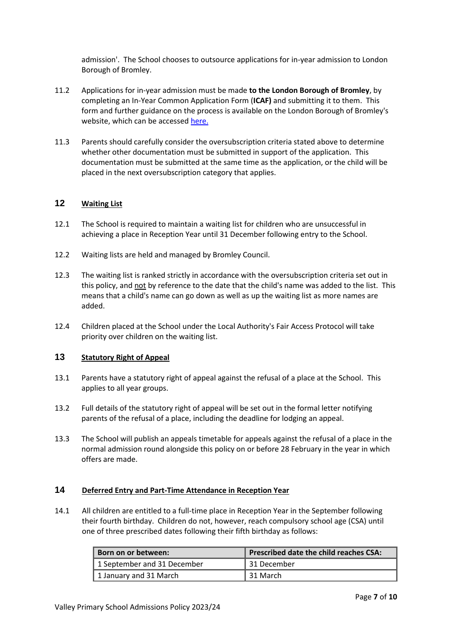admission'. The School chooses to outsource applications for in-year admission to London Borough of Bromley.

- 11.2 Applications for in-year admission must be made **to the London Borough of Bromley**, by completing an In-Year Common Application Form (**ICAF)** and submitting it to them. This form and further guidance on the process is available on the London Borough of Bromley's website, which can be accessed [here.](https://www.bromley.gov.uk/site/)
- 11.3 Parents should carefully consider the oversubscription criteria stated above to determine whether other documentation must be submitted in support of the application. This documentation must be submitted at the same time as the application, or the child will be placed in the next oversubscription category that applies.

# **12 Waiting List**

- 12.1 The School is required to maintain a waiting list for children who are unsuccessful in achieving a place in Reception Year until 31 December following entry to the School.
- 12.2 Waiting lists are held and managed by Bromley Council.
- 12.3 The waiting list is ranked strictly in accordance with the oversubscription criteria set out in this policy, and not by reference to the date that the child's name was added to the list. This means that a child's name can go down as well as up the waiting list as more names are added.
- 12.4 Children placed at the School under the Local Authority's Fair Access Protocol will take priority over children on the waiting list.

# **13 Statutory Right of Appeal**

- 13.1 Parents have a statutory right of appeal against the refusal of a place at the School. This applies to all year groups.
- 13.2 Full details of the statutory right of appeal will be set out in the formal letter notifying parents of the refusal of a place, including the deadline for lodging an appeal.
- 13.3 The School will publish an appeals timetable for appeals against the refusal of a place in the normal admission round alongside this policy on or before 28 February in the year in which offers are made.

#### **14 Deferred Entry and Part-Time Attendance in Reception Year**

14.1 All children are entitled to a full-time place in Reception Year in the September following their fourth birthday. Children do not, however, reach compulsory school age (CSA) until one of three prescribed dates following their fifth birthday as follows:

| Born on or between:         | Prescribed date the child reaches CSA: |
|-----------------------------|----------------------------------------|
| 1 September and 31 December | ∣31 December                           |
| 1 January and 31 March      | l 31 March                             |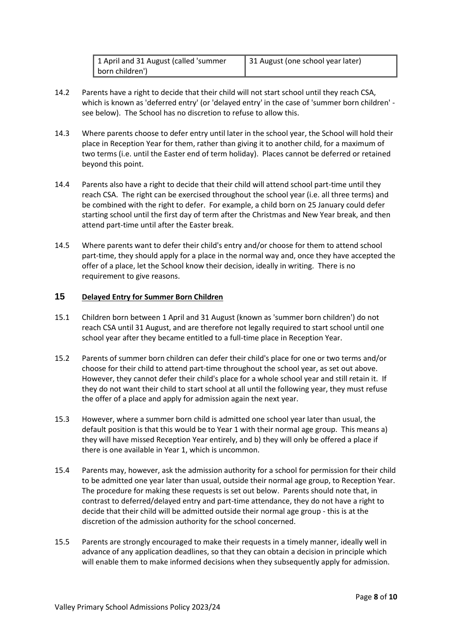| 1 April and 31 August (called 'summer | 31 August (one school year later) |
|---------------------------------------|-----------------------------------|
| born children')                       |                                   |

- 14.2 Parents have a right to decide that their child will not start school until they reach CSA, which is known as 'deferred entry' (or 'delayed entry' in the case of 'summer born children' see below). The School has no discretion to refuse to allow this.
- 14.3 Where parents choose to defer entry until later in the school year, the School will hold their place in Reception Year for them, rather than giving it to another child, for a maximum of two terms (i.e. until the Easter end of term holiday). Places cannot be deferred or retained beyond this point.
- 14.4 Parents also have a right to decide that their child will attend school part-time until they reach CSA. The right can be exercised throughout the school year (i.e. all three terms) and be combined with the right to defer. For example, a child born on 25 January could defer starting school until the first day of term after the Christmas and New Year break, and then attend part-time until after the Easter break.
- 14.5 Where parents want to defer their child's entry and/or choose for them to attend school part-time, they should apply for a place in the normal way and, once they have accepted the offer of a place, let the School know their decision, ideally in writing. There is no requirement to give reasons.

# **15 Delayed Entry for Summer Born Children**

- 15.1 Children born between 1 April and 31 August (known as 'summer born children') do not reach CSA until 31 August, and are therefore not legally required to start school until one school year after they became entitled to a full-time place in Reception Year.
- 15.2 Parents of summer born children can defer their child's place for one or two terms and/or choose for their child to attend part-time throughout the school year, as set out above. However, they cannot defer their child's place for a whole school year and still retain it. If they do not want their child to start school at all until the following year, they must refuse the offer of a place and apply for admission again the next year.
- 15.3 However, where a summer born child is admitted one school year later than usual, the default position is that this would be to Year 1 with their normal age group. This means a) they will have missed Reception Year entirely, and b) they will only be offered a place if there is one available in Year 1, which is uncommon.
- 15.4 Parents may, however, ask the admission authority for a school for permission for their child to be admitted one year later than usual, outside their normal age group, to Reception Year. The procedure for making these requests is set out below. Parents should note that, in contrast to deferred/delayed entry and part-time attendance, they do not have a right to decide that their child will be admitted outside their normal age group - this is at the discretion of the admission authority for the school concerned.
- 15.5 Parents are strongly encouraged to make their requests in a timely manner, ideally well in advance of any application deadlines, so that they can obtain a decision in principle which will enable them to make informed decisions when they subsequently apply for admission.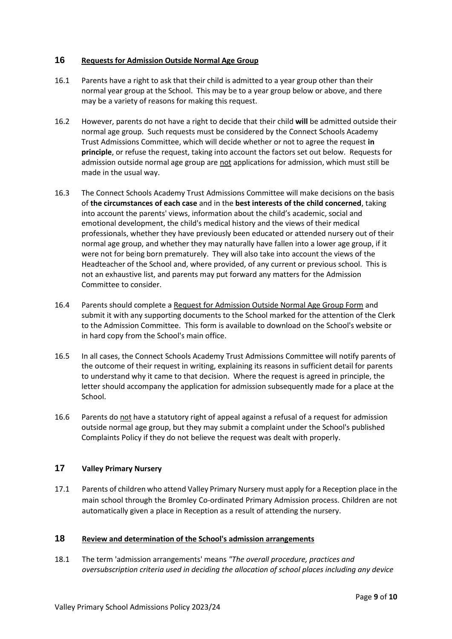#### **16 Requests for Admission Outside Normal Age Group**

- 16.1 Parents have a right to ask that their child is admitted to a year group other than their normal year group at the School. This may be to a year group below or above, and there may be a variety of reasons for making this request.
- 16.2 However, parents do not have a right to decide that their child **will** be admitted outside their normal age group. Such requests must be considered by the Connect Schools Academy Trust Admissions Committee, which will decide whether or not to agree the request **in principle**, or refuse the request, taking into account the factors set out below. Requests for admission outside normal age group are not applications for admission, which must still be made in the usual way.
- 16.3 The Connect Schools Academy Trust Admissions Committee will make decisions on the basis of **the circumstances of each case** and in the **best interests of the child concerned**, taking into account the parents' views, information about the child's academic, social and emotional development, the child's medical history and the views of their medical professionals, whether they have previously been educated or attended nursery out of their normal age group, and whether they may naturally have fallen into a lower age group, if it were not for being born prematurely. They will also take into account the views of the Headteacher of the School and, where provided, of any current or previous school. This is not an exhaustive list, and parents may put forward any matters for the Admission Committee to consider.
- 16.4 Parents should complete a Request for Admission Outside Normal Age Group Form and submit it with any supporting documents to the School marked for the attention of the Clerk to the Admission Committee. This form is available to download on the School's website or in hard copy from the School's main office.
- 16.5 In all cases, the Connect Schools Academy Trust Admissions Committee will notify parents of the outcome of their request in writing, explaining its reasons in sufficient detail for parents to understand why it came to that decision. Where the request is agreed in principle, the letter should accompany the application for admission subsequently made for a place at the School.
- 16.6 Parents do not have a statutory right of appeal against a refusal of a request for admission outside normal age group, but they may submit a complaint under the School's published Complaints Policy if they do not believe the request was dealt with properly.

# **17 Valley Primary Nursery**

17.1 Parents of children who attend Valley Primary Nursery must apply for a Reception place in the main school through the Bromley Co-ordinated Primary Admission process. Children are not automatically given a place in Reception as a result of attending the nursery.

#### **18 Review and determination of the School's admission arrangements**

18.1 The term 'admission arrangements' means *"The overall procedure, practices and oversubscription criteria used in deciding the allocation of school places including any device*